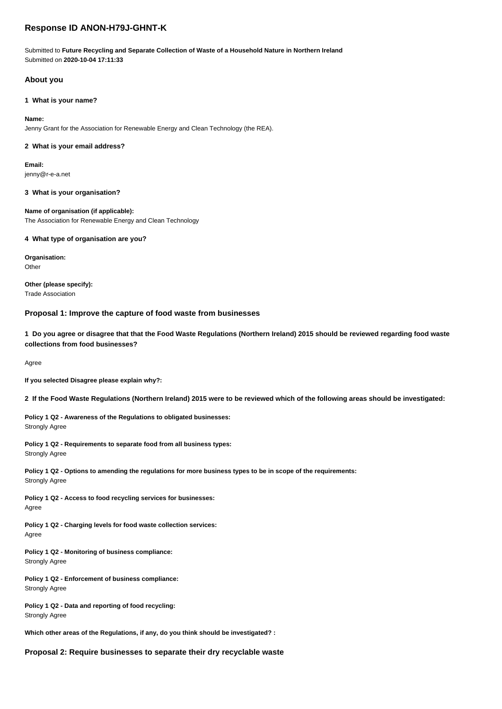# **Response ID ANON-H79J-GHNT-K**

Submitted to **Future Recycling and Separate Collection of Waste of a Household Nature in Northern Ireland** Submitted on **2020-10-04 17:11:33**

## **About you**

## **1 What is your name?**

## **Name:**

Jenny Grant for the Association for Renewable Energy and Clean Technology (the REA).

## **2 What is your email address?**

**Email:** jenny@r-e-a.net

### **3 What is your organisation?**

**Name of organisation (if applicable):** The Association for Renewable Energy and Clean Technology

### **4 What type of organisation are you?**

**Organisation: Other** 

**Other (please specify):** Trade Association

## **Proposal 1: Improve the capture of food waste from businesses**

**1 Do you agree or disagree that that the Food Waste Regulations (Northern Ireland) 2015 should be reviewed regarding food waste collections from food businesses?**

Agree

**If you selected Disagree please explain why?:**

**2 If the Food Waste Regulations (Northern Ireland) 2015 were to be reviewed which of the following areas should be investigated:**

**Policy 1 Q2 - Awareness of the Regulations to obligated businesses:** Strongly Agree

**Policy 1 Q2 - Requirements to separate food from all business types:** Strongly Agree

**Policy 1 Q2 - Options to amending the regulations for more business types to be in scope of the requirements:** Strongly Agree

**Policy 1 Q2 - Access to food recycling services for businesses:** Agree

**Policy 1 Q2 - Charging levels for food waste collection services:** Agree

**Policy 1 Q2 - Monitoring of business compliance:** Strongly Agree

**Policy 1 Q2 - Enforcement of business compliance:** Strongly Agree

**Policy 1 Q2 - Data and reporting of food recycling:** Strongly Agree

**Which other areas of the Regulations, if any, do you think should be investigated? :**

**Proposal 2: Require businesses to separate their dry recyclable waste**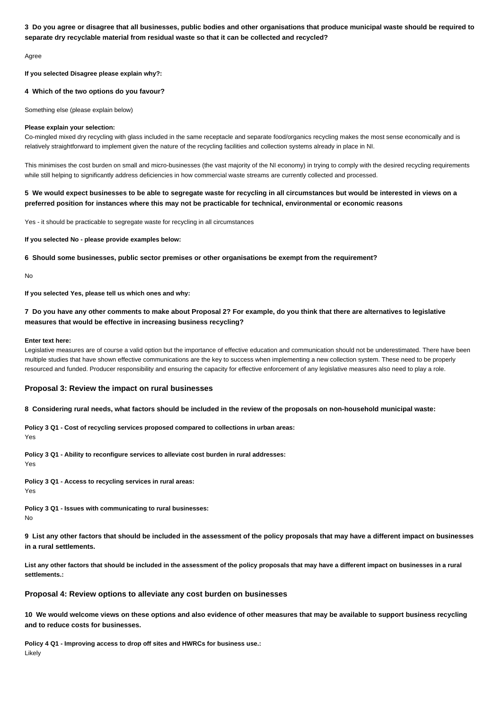## **3 Do you agree or disagree that all businesses, public bodies and other organisations that produce municipal waste should be required to separate dry recyclable material from residual waste so that it can be collected and recycled?**

Agree

**If you selected Disagree please explain why?:**

## **4 Which of the two options do you favour?**

Something else (please explain below)

### **Please explain your selection:**

Co-mingled mixed dry recycling with glass included in the same receptacle and separate food/organics recycling makes the most sense economically and is relatively straightforward to implement given the nature of the recycling facilities and collection systems already in place in NI.

This minimises the cost burden on small and micro-businesses (the vast majority of the NI economy) in trying to comply with the desired recycling requirements while still helping to significantly address deficiencies in how commercial waste streams are currently collected and processed.

## **5 We would expect businesses to be able to segregate waste for recycling in all circumstances but would be interested in views on a preferred position for instances where this may not be practicable for technical, environmental or economic reasons**

Yes - it should be practicable to segregate waste for recycling in all circumstances

**If you selected No - please provide examples below:**

**6 Should some businesses, public sector premises or other organisations be exempt from the requirement?**

No

**If you selected Yes, please tell us which ones and why:**

## **7 Do you have any other comments to make about Proposal 2? For example, do you think that there are alternatives to legislative measures that would be effective in increasing business recycling?**

#### **Enter text here:**

Legislative measures are of course a valid option but the importance of effective education and communication should not be underestimated. There have been multiple studies that have shown effective communications are the key to success when implementing a new collection system. These need to be properly resourced and funded. Producer responsibility and ensuring the capacity for effective enforcement of any legislative measures also need to play a role.

### **Proposal 3: Review the impact on rural businesses**

### **8 Considering rural needs, what factors should be included in the review of the proposals on non-household municipal waste:**

**Policy 3 Q1 - Cost of recycling services proposed compared to collections in urban areas:** Yes

**Policy 3 Q1 - Ability to reconfigure services to alleviate cost burden in rural addresses:** Yes

**Policy 3 Q1 - Access to recycling services in rural areas:** Yes

**Policy 3 Q1 - Issues with communicating to rural businesses:** No

**9 List any other factors that should be included in the assessment of the policy proposals that may have a different impact on businesses in a rural settlements.**

**List any other factors that should be included in the assessment of the policy proposals that may have a different impact on businesses in a rural settlements.:**

## **Proposal 4: Review options to alleviate any cost burden on businesses**

**10 We would welcome views on these options and also evidence of other measures that may be available to support business recycling and to reduce costs for businesses.**

**Policy 4 Q1 - Improving access to drop off sites and HWRCs for business use.:** Likely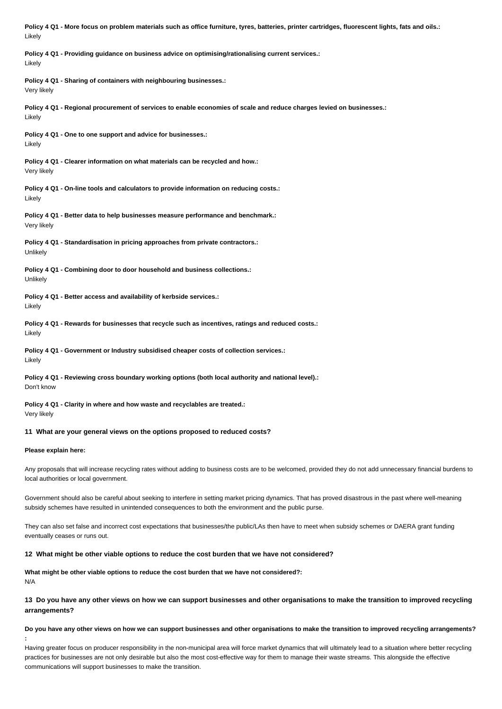**Policy 4 Q1 - More focus on problem materials such as office furniture, tyres, batteries, printer cartridges, fluorescent lights, fats and oils.:** Likely

**Policy 4 Q1 - Providing guidance on business advice on optimising/rationalising current services.:** Likely

**Policy 4 Q1 - Sharing of containers with neighbouring businesses.:** Very likely

**Policy 4 Q1 - Regional procurement of services to enable economies of scale and reduce charges levied on businesses.:** Likely

**Policy 4 Q1 - One to one support and advice for businesses.:** Likely

**Policy 4 Q1 - Clearer information on what materials can be recycled and how.:** Very likely

**Policy 4 Q1 - On-line tools and calculators to provide information on reducing costs.:** Likely

**Policy 4 Q1 - Better data to help businesses measure performance and benchmark.:** Very likely

**Policy 4 Q1 - Standardisation in pricing approaches from private contractors.:** Unlikely

**Policy 4 Q1 - Combining door to door household and business collections.: Unlikely** 

**Policy 4 Q1 - Better access and availability of kerbside services.:** Likely

**Policy 4 Q1 - Rewards for businesses that recycle such as incentives, ratings and reduced costs.:** Likely

**Policy 4 Q1 - Government or Industry subsidised cheaper costs of collection services.:** Likely

**Policy 4 Q1 - Reviewing cross boundary working options (both local authority and national level).:** Don't know

**Policy 4 Q1 - Clarity in where and how waste and recyclables are treated.:** Very likely

## **11 What are your general views on the options proposed to reduced costs?**

#### **Please explain here:**

Any proposals that will increase recycling rates without adding to business costs are to be welcomed, provided they do not add unnecessary financial burdens to local authorities or local government.

Government should also be careful about seeking to interfere in setting market pricing dynamics. That has proved disastrous in the past where well-meaning subsidy schemes have resulted in unintended consequences to both the environment and the public purse.

They can also set false and incorrect cost expectations that businesses/the public/LAs then have to meet when subsidy schemes or DAERA grant funding eventually ceases or runs out.

## **12 What might be other viable options to reduce the cost burden that we have not considered?**

**What might be other viable options to reduce the cost burden that we have not considered?:** N/A

## **13 Do you have any other views on how we can support businesses and other organisations to make the transition to improved recycling arrangements?**

## **Do you have any other views on how we can support businesses and other organisations to make the transition to improved recycling arrangements? :**

Having greater focus on producer responsibility in the non-municipal area will force market dynamics that will ultimately lead to a situation where better recycling practices for businesses are not only desirable but also the most cost-effective way for them to manage their waste streams. This alongside the effective communications will support businesses to make the transition.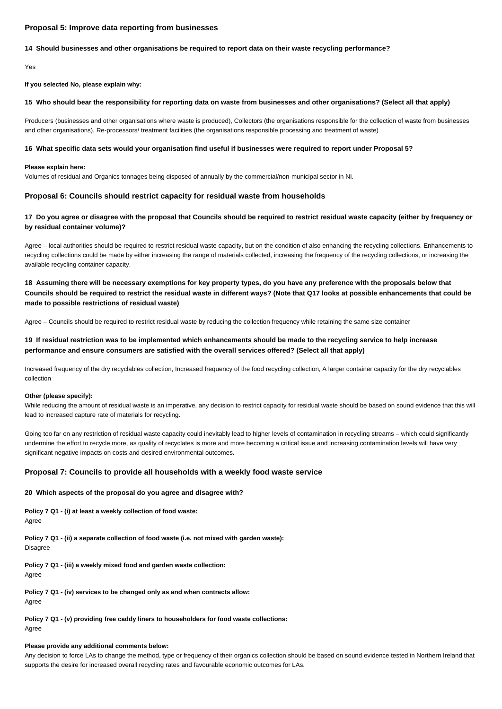## **Proposal 5: Improve data reporting from businesses**

### **14 Should businesses and other organisations be required to report data on their waste recycling performance?**

Yes

**If you selected No, please explain why:**

#### **15 Who should bear the responsibility for reporting data on waste from businesses and other organisations? (Select all that apply)**

Producers (businesses and other organisations where waste is produced), Collectors (the organisations responsible for the collection of waste from businesses and other organisations), Re-processors/ treatment facilities (the organisations responsible processing and treatment of waste)

#### **16 What specific data sets would your organisation find useful if businesses were required to report under Proposal 5?**

#### **Please explain here:**

Volumes of residual and Organics tonnages being disposed of annually by the commercial/non-municipal sector in NI.

## **Proposal 6: Councils should restrict capacity for residual waste from households**

## **17 Do you agree or disagree with the proposal that Councils should be required to restrict residual waste capacity (either by frequency or by residual container volume)?**

Agree - local authorities should be required to restrict residual waste capacity, but on the condition of also enhancing the recycling collections. Enhancements to recycling collections could be made by either increasing the range of materials collected, increasing the frequency of the recycling collections, or increasing the available recycling container capacity.

**18 Assuming there will be necessary exemptions for key property types, do you have any preference with the proposals below that Councils should be required to restrict the residual waste in different ways? (Note that Q17 looks at possible enhancements that could be made to possible restrictions of residual waste)**

Agree – Councils should be required to restrict residual waste by reducing the collection frequency while retaining the same size container

## **19 If residual restriction was to be implemented which enhancements should be made to the recycling service to help increase performance and ensure consumers are satisfied with the overall services offered? (Select all that apply)**

Increased frequency of the dry recyclables collection, Increased frequency of the food recycling collection, A larger container capacity for the dry recyclables collection

#### **Other (please specify):**

While reducing the amount of residual waste is an imperative, any decision to restrict capacity for residual waste should be based on sound evidence that this will lead to increased capture rate of materials for recycling.

Going too far on any restriction of residual waste capacity could inevitably lead to higher levels of contamination in recycling streams – which could significantly undermine the effort to recycle more, as quality of recyclates is more and more becoming a critical issue and increasing contamination levels will have very significant negative impacts on costs and desired environmental outcomes.

### **Proposal 7: Councils to provide all households with a weekly food waste service**

#### **20 Which aspects of the proposal do you agree and disagree with?**

**Policy 7 Q1 - (i) at least a weekly collection of food waste:** Agree

**Policy 7 Q1 - (ii) a separate collection of food waste (i.e. not mixed with garden waste):** Disagree

**Policy 7 Q1 - (iii) a weekly mixed food and garden waste collection:** Agree

**Policy 7 Q1 - (iv) services to be changed only as and when contracts allow:** Agree

**Policy 7 Q1 - (v) providing free caddy liners to householders for food waste collections:** Agree

#### **Please provide any additional comments below:**

Any decision to force LAs to change the method, type or frequency of their organics collection should be based on sound evidence tested in Northern Ireland that supports the desire for increased overall recycling rates and favourable economic outcomes for LAs.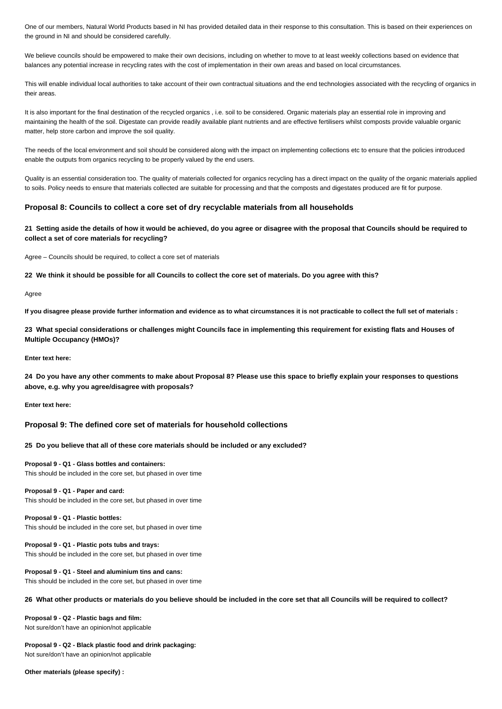One of our members, Natural World Products based in NI has provided detailed data in their response to this consultation. This is based on their experiences on the ground in NI and should be considered carefully.

We believe councils should be empowered to make their own decisions, including on whether to move to at least weekly collections based on evidence that balances any potential increase in recycling rates with the cost of implementation in their own areas and based on local circumstances.

This will enable individual local authorities to take account of their own contractual situations and the end technologies associated with the recycling of organics in their areas.

It is also important for the final destination of the recycled organics, i.e. soil to be considered. Organic materials play an essential role in improving and maintaining the health of the soil. Digestate can provide readily available plant nutrients and are effective fertilisers whilst composts provide valuable organic matter, help store carbon and improve the soil quality.

The needs of the local environment and soil should be considered along with the impact on implementing collections etc to ensure that the policies introduced enable the outputs from organics recycling to be properly valued by the end users.

Quality is an essential consideration too. The quality of materials collected for organics recycling has a direct impact on the quality of the organic materials applied to soils. Policy needs to ensure that materials collected are suitable for processing and that the composts and digestates produced are fit for purpose.

## **Proposal 8: Councils to collect a core set of dry recyclable materials from all households**

**21 Setting aside the details of how it would be achieved, do you agree or disagree with the proposal that Councils should be required to collect a set of core materials for recycling?**

Agree – Councils should be required, to collect a core set of materials

**22 We think it should be possible for all Councils to collect the core set of materials. Do you agree with this?**

Agree

**If you disagree please provide further information and evidence as to what circumstances it is not practicable to collect the full set of materials :**

**23 What special considerations or challenges might Councils face in implementing this requirement for existing flats and Houses of Multiple Occupancy (HMOs)?**

**Enter text here:**

**24 Do you have any other comments to make about Proposal 8? Please use this space to briefly explain your responses to questions above, e.g. why you agree/disagree with proposals?**

**Enter text here:**

### **Proposal 9: The defined core set of materials for household collections**

**25 Do you believe that all of these core materials should be included or any excluded?**

**Proposal 9 - Q1 - Glass bottles and containers:** This should be included in the core set, but phased in over time

### **Proposal 9 - Q1 - Paper and card:**

This should be included in the core set, but phased in over time

**Proposal 9 - Q1 - Plastic bottles:** This should be included in the core set, but phased in over time

**Proposal 9 - Q1 - Plastic pots tubs and trays:** This should be included in the core set, but phased in over time

**Proposal 9 - Q1 - Steel and aluminium tins and cans:** This should be included in the core set, but phased in over time

## **26 What other products or materials do you believe should be included in the core set that all Councils will be required to collect?**

**Proposal 9 - Q2 - Plastic bags and film:** Not sure/don't have an opinion/not applicable

**Proposal 9 - Q2 - Black plastic food and drink packaging:** Not sure/don't have an opinion/not applicable

**Other materials (please specify) :**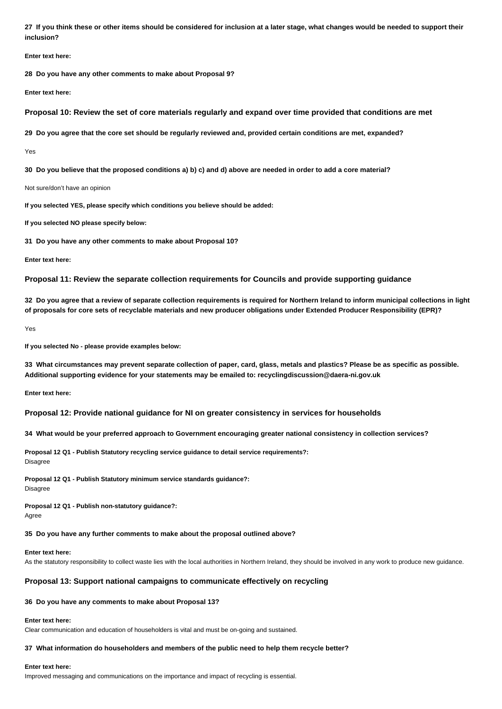**27 If you think these or other items should be considered for inclusion at a later stage, what changes would be needed to support their inclusion?**

**Enter text here:**

**28 Do you have any other comments to make about Proposal 9?**

**Enter text here:**

**Proposal 10: Review the set of core materials regularly and expand over time provided that conditions are met**

**29 Do you agree that the core set should be regularly reviewed and, provided certain conditions are met, expanded?**

Yes

**30 Do you believe that the proposed conditions a) b) c) and d) above are needed in order to add a core material?**

Not sure/don't have an opinion

**If you selected YES, please specify which conditions you believe should be added:**

**If you selected NO please specify below:**

**31 Do you have any other comments to make about Proposal 10?**

**Enter text here:**

**Proposal 11: Review the separate collection requirements for Councils and provide supporting guidance**

**32 Do you agree that a review of separate collection requirements is required for Northern Ireland to inform municipal collections in light of proposals for core sets of recyclable materials and new producer obligations under Extended Producer Responsibility (EPR)?**

Yes

**If you selected No - please provide examples below:**

**33 What circumstances may prevent separate collection of paper, card, glass, metals and plastics? Please be as specific as possible. Additional supporting evidence for your statements may be emailed to: recyclingdiscussion@daera-ni.gov.uk**

**Enter text here:**

**Proposal 12: Provide national guidance for NI on greater consistency in services for households**

**34 What would be your preferred approach to Government encouraging greater national consistency in collection services?**

**Proposal 12 Q1 - Publish Statutory recycling service guidance to detail service requirements?: Disagree** 

**Proposal 12 Q1 - Publish Statutory minimum service standards guidance?:** Disagree

**Proposal 12 Q1 - Publish non-statutory guidance?:** Agree

#### **35 Do you have any further comments to make about the proposal outlined above?**

**Enter text here:**

As the statutory responsibility to collect waste lies with the local authorities in Northern Ireland, they should be involved in any work to produce new guidance.

### **Proposal 13: Support national campaigns to communicate effectively on recycling**

### **36 Do you have any comments to make about Proposal 13?**

#### **Enter text here:**

Clear communication and education of householders is vital and must be on-going and sustained.

## **37 What information do householders and members of the public need to help them recycle better?**

#### **Enter text here:**

Improved messaging and communications on the importance and impact of recycling is essential.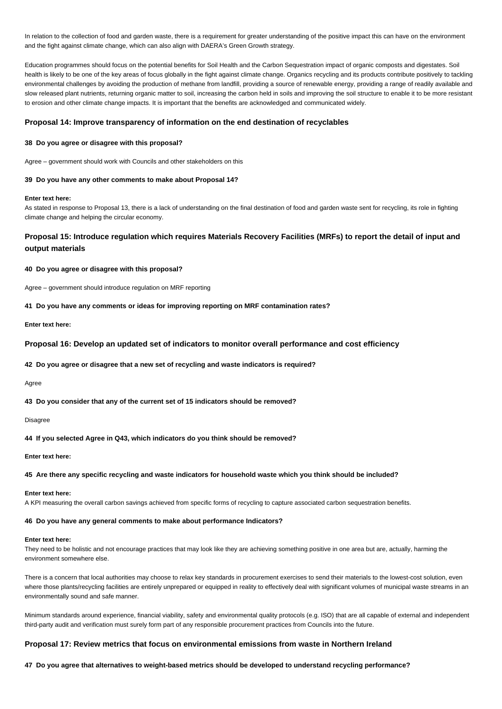In relation to the collection of food and garden waste, there is a requirement for greater understanding of the positive impact this can have on the environment and the fight against climate change, which can also align with DAERA's Green Growth strategy.

Education programmes should focus on the potential benefits for Soil Health and the Carbon Sequestration impact of organic composts and digestates. Soil health is likely to be one of the key areas of focus globally in the fight against climate change. Organics recycling and its products contribute positively to tackling environmental challenges by avoiding the production of methane from landfill, providing a source of renewable energy, providing a range of readily available and slow released plant nutrients, returning organic matter to soil, increasing the carbon held in soils and improving the soil structure to enable it to be more resistant to erosion and other climate change impacts. It is important that the benefits are acknowledged and communicated widely.

## **Proposal 14: Improve transparency of information on the end destination of recyclables**

### **38 Do you agree or disagree with this proposal?**

Agree – government should work with Councils and other stakeholders on this

## **39 Do you have any other comments to make about Proposal 14?**

### **Enter text here:**

As stated in response to Proposal 13, there is a lack of understanding on the final destination of food and garden waste sent for recycling, its role in fighting climate change and helping the circular economy.

# **Proposal 15: Introduce regulation which requires Materials Recovery Facilities (MRFs) to report the detail of input and output materials**

#### **40 Do you agree or disagree with this proposal?**

Agree – government should introduce regulation on MRF reporting

### **41 Do you have any comments or ideas for improving reporting on MRF contamination rates?**

**Enter text here:**

## **Proposal 16: Develop an updated set of indicators to monitor overall performance and cost efficiency**

**42 Do you agree or disagree that a new set of recycling and waste indicators is required?**

Agree

**43 Do you consider that any of the current set of 15 indicators should be removed?**

### Disagree

**44 If you selected Agree in Q43, which indicators do you think should be removed?**

## **Enter text here:**

## **45 Are there any specific recycling and waste indicators for household waste which you think should be included?**

#### **Enter text here:**

A KPI measuring the overall carbon savings achieved from specific forms of recycling to capture associated carbon sequestration benefits.

## **46 Do you have any general comments to make about performance Indicators?**

### **Enter text here:**

They need to be holistic and not encourage practices that may look like they are achieving something positive in one area but are, actually, harming the environment somewhere else.

There is a concern that local authorities may choose to relax key standards in procurement exercises to send their materials to the lowest-cost solution, even where those plants/recycling facilities are entirely unprepared or equipped in reality to effectively deal with significant volumes of municipal waste streams in an environmentally sound and safe manner.

Minimum standards around experience, financial viability, safety and environmental quality protocols (e.g. ISO) that are all capable of external and independent third-party audit and verification must surely form part of any responsible procurement practices from Councils into the future.

#### **Proposal 17: Review metrics that focus on environmental emissions from waste in Northern Ireland**

**47 Do you agree that alternatives to weight-based metrics should be developed to understand recycling performance?**